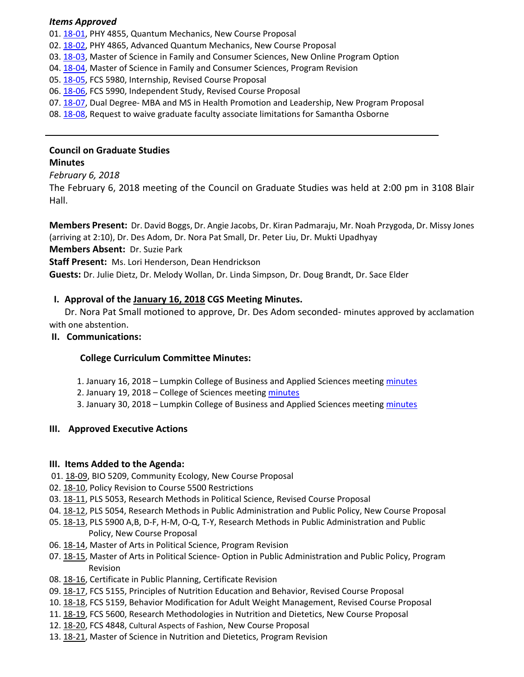#### *Items Approved*

01. 18-[01,](http://castle.eiu.edu/eiucgs/currentagendaitems/agenda18-01.pdf) PHY 4855, Quantum Mechanics, New Course Proposal

02. 18‐[02,](http://castle.eiu.edu/eiucgs/currentagendaitems/agenda18-02.pdf) PHY 4865, Advanced Quantum Mechanics, New Course Proposal

03. 18‐[03,](http://castle.eiu.edu/eiucgs/currentagendaitems/agenda18-03.pdf) Master of Science in Family and Consumer Sciences, New Online Program Option

04. 18-[04,](http://castle.eiu.edu/eiucgs/currentagendaitems/agenda18-04.pdf) Master of Science in Family and Consumer Sciences, Program Revision

05. 18-[05,](http://castle.eiu.edu/eiucgs/currentagendaitems/agenda18-05.pdf) FCS 5980, Internship, Revised Course Proposal

06. 18‐[06,](http://castle.eiu.edu/eiucgs/currentagendaitems/agenda18-06.pdf) FCS 5990, Independent Study, Revised Course Proposal

07. 18-[07,](http://castle.eiu.edu/eiucgs/currentagendaitems/agenda18-07.pdf) Dual Degree- MBA and MS in Health Promotion and Leadership, New Program Proposal

08. 18‐[08,](http://castle.eiu.edu/eiucgs/currentagendaitems/agenda18-08.pdf) Request to waive graduate faculty associate limitations for Samantha Osborne

# **Council on Graduate Studies**

## **Minutes**

## *February 6, 2018*

The February 6, 2018 meeting of the Council on Graduate Studies was held at 2:00 pm in 3108 Blair Hall.

**Members Present:** Dr. David Boggs, Dr. Angie Jacobs, Dr. Kiran Padmaraju, Mr. Noah Przygoda, Dr. Missy Jones (arriving at 2:10), Dr. Des Adom, Dr. Nora Pat Small, Dr. Peter Liu, Dr. Mukti Upadhyay **Members Absent:** Dr. Suzie Park

**Staff Present:** Ms. Lori Henderson, Dean Hendrickson

**Guests:** Dr. Julie Dietz, Dr. Melody Wollan, Dr. Linda Simpson, Dr. Doug Brandt, Dr. Sace Elder

## **I. Approval of the [January](http://castle.eiu.edu/eiucgs/currentminutes/Minutes01-16-18.pdf) 16, 2018 CGS Meeting Minutes.**

Dr. Nora Pat Small motioned to approve, Dr. Des Adom seconded‐ minutes approved by acclamation with one abstention.

#### **II. Communications:**

## **College Curriculum Committee Minutes:**

- 1. January 16, 2018 Lumpkin College of Business and Applied Sciences meeting [minutes](http://www.eiu.edu/~lumpkin/Curriculum/lcbascurrmin20180116.pdf)
- 2. January 19, 2018 College of Sciences meeting [minutes](http://www.eiu.edu/colsci/coscc/minutes_2017/COSCC_Minutes_1_19_18.pdf)
- 3. January 30, 2018 Lumpkin College of Business and Applied Sciences meeting [minutes](http://www.eiu.edu/~lumpkin/Curriculum/lcbascurrmin20180130.pdf)

## **III. Approved Executive Actions**

## **III. Items Added to the Agenda:**

- 01. 18‐[09,](http://castle.eiu.edu/eiucgs/currentagendaitems/agenda18-09.pdf) BIO 5209, Community Ecology, New Course Proposal
- 02. 18‐[10,](http://castle.eiu.edu/eiucgs/currentagendaitems/agenda18-10.pdf) Policy Revision to Course 5500 Restrictions
- 03. 18‐[11,](http://castle.eiu.edu/eiucgs/currentagendaitems/agenda18-11.pdf) PLS 5053, Research Methods in Political Science, Revised Course Proposal
- 04. 18‐[12,](http://castle.eiu.edu/eiucgs/currentagendaitems/agenda18-12.pdf) PLS 5054, Research Methods in Public Administration and Public Policy, New Course Proposal
- 05. 18‐[13,](http://castle.eiu.edu/eiucgs/currentagendaitems/agenda18-13.pdf) PLS 5900 A,B, D‐F, H‐M, O‐Q, T‐Y, Research Methods in Public Administration and Public Policy, New Course Proposal
- 06. 18-[14,](http://castle.eiu.edu/eiucgs/currentagendaitems/agenda18-14.pdf) Master of Arts in Political Science, Program Revision
- 07. 18‐[15,](http://castle.eiu.edu/eiucgs/currentagendaitems/agenda18-15.pdf) Master of Arts in Political Science‐ Option in Public Administration and Public Policy, Program Revision
- 08. 18‐[16,](http://castle.eiu.edu/eiucgs/currentagendaitems/agenda18-16.pdf) Certificate in Public Planning, Certificate Revision
- 09. 18‐[17,](http://castle.eiu.edu/eiucgs/currentagendaitems/agenda18-17.pdf) FCS 5155, Principles of Nutrition Education and Behavior, Revised Course Proposal
- 10. 18‐[18,](http://castle.eiu.edu/eiucgs/currentagendaitems/agenda18-18.pdf) FCS 5159, Behavior Modification for Adult Weight Management, Revised Course Proposal
- 11. 18‐[19,](http://castle.eiu.edu/eiucgs/currentagendaitems/agenda18-19.pdf) FCS 5600, Research Methodologies in Nutrition and Dietetics, New Course Proposal
- 12. 18‐[20,](http://castle.eiu.edu/eiucgs/currentagendaitems/agenda18-20.pdf) FCS 4848, Cultural Aspects of Fashion, New Course Proposal
- 13. 18‐[21,](http://castle.eiu.edu/eiucgs/currentagendaitems/agenda18-21.pdf) Master of Science in Nutrition and Dietetics, Program Revision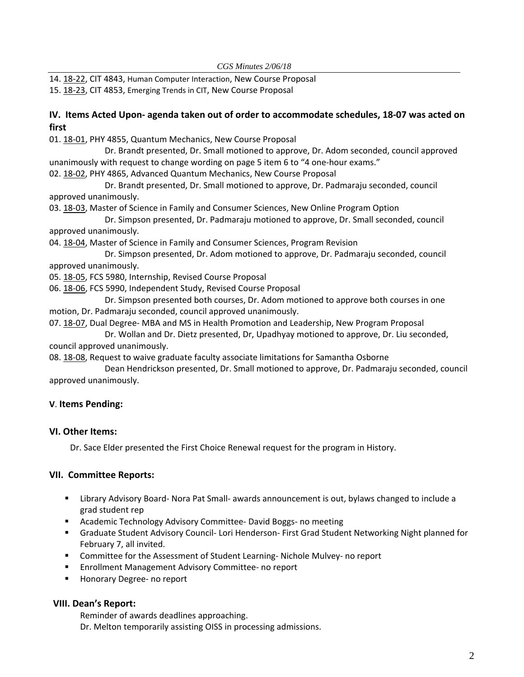14. 18‐[22,](http://castle.eiu.edu/eiucgs/currentagendaitems/agenda18-22.pdf) CIT 4843, Human Computer Interaction, New Course Proposal 15. 18‐[23,](http://castle.eiu.edu/eiucgs/currentagendaitems/agenda18-23.pdf) CIT 4853, Emerging Trends in CIT, New Course Proposal

# IV. Items Acted Upon- agenda taken out of order to accommodate schedules, 18-07 was acted on **first**

01. 18‐[01,](http://castle.eiu.edu/eiucgs/currentagendaitems/agenda18-01.pdf) PHY 4855, Quantum Mechanics, New Course Proposal

 Dr. Brandt presented, Dr. Small motioned to approve, Dr. Adom seconded, council approved unanimously with request to change wording on page 5 item 6 to "4 one‐hour exams."

02. 18-[02,](http://castle.eiu.edu/eiucgs/currentagendaitems/agenda18-02.pdf) PHY 4865, Advanced Quantum Mechanics, New Course Proposal

 Dr. Brandt presented, Dr. Small motioned to approve, Dr. Padmaraju seconded, council approved unanimously.

03. 18‐[03,](http://castle.eiu.edu/eiucgs/currentagendaitems/agenda18-03.pdf) Master of Science in Family and Consumer Sciences, New Online Program Option

 Dr. Simpson presented, Dr. Padmaraju motioned to approve, Dr. Small seconded, council approved unanimously.

04. 18‐[04,](http://castle.eiu.edu/eiucgs/currentagendaitems/agenda18-04.pdf) Master of Science in Family and Consumer Sciences, Program Revision

 Dr. Simpson presented, Dr. Adom motioned to approve, Dr. Padmaraju seconded, council approved unanimously.

05. 18‐[05,](http://castle.eiu.edu/eiucgs/currentagendaitems/agenda18-05.pdf) FCS 5980, Internship, Revised Course Proposal

06. 18‐[06,](http://castle.eiu.edu/eiucgs/currentagendaitems/agenda18-06.pdf) FCS 5990, Independent Study, Revised Course Proposal

 Dr. Simpson presented both courses, Dr. Adom motioned to approve both courses in one motion, Dr. Padmaraju seconded, council approved unanimously.

07. 18‐[07,](http://castle.eiu.edu/eiucgs/currentagendaitems/agenda18-07.pdf) Dual Degree‐ MBA and MS in Health Promotion and Leadership, New Program Proposal

 Dr. Wollan and Dr. Dietz presented, Dr, Upadhyay motioned to approve, Dr. Liu seconded, council approved unanimously.

08. 18‐[08,](http://castle.eiu.edu/eiucgs/currentagendaitems/agenda18-08.pdf) Request to waive graduate faculty associate limitations for Samantha Osborne

 Dean Hendrickson presented, Dr. Small motioned to approve, Dr. Padmaraju seconded, council approved unanimously.

## **V**. **Items Pending:**

## **VI. Other Items:**

Dr. Sace Elder presented the First Choice Renewal request for the program in History.

## **VII. Committee Reports:**

- Library Advisory Board- Nora Pat Small- awards announcement is out, bylaws changed to include a grad student rep
- Academic Technology Advisory Committee-David Boggs- no meeting
- Graduate Student Advisory Council- Lori Henderson- First Grad Student Networking Night planned for February 7, all invited.
- Committee for the Assessment of Student Learning-Nichole Mulvey- no report
- Enrollment Management Advisory Committee- no report
- Honorary Degree- no report

## **VIII. Dean's Report:**

Reminder of awards deadlines approaching. Dr. Melton temporarily assisting OISS in processing admissions.